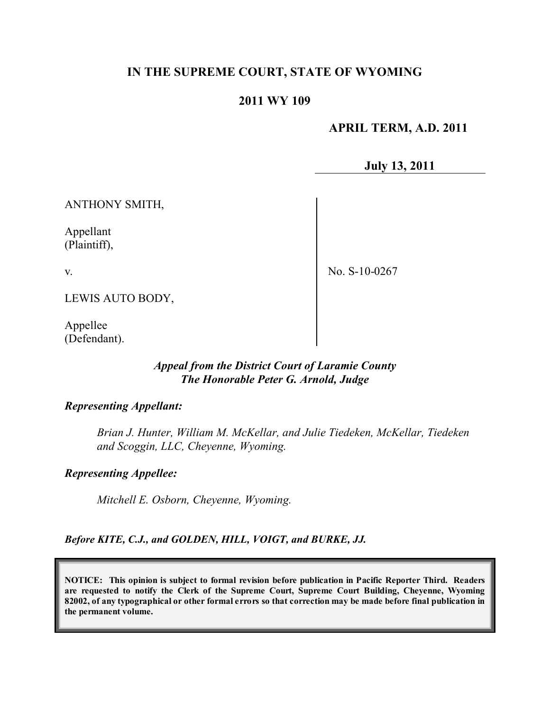## **IN THE SUPREME COURT, STATE OF WYOMING**

### **2011 WY 109**

#### **APRIL TERM, A.D. 2011**

**July 13, 2011**

ANTHONY SMITH,

Appellant (Plaintiff),

v.

No. S-10-0267

LEWIS AUTO BODY,

Appellee (Defendant).

### *Appeal from the District Court of Laramie County The Honorable Peter G. Arnold, Judge*

#### *Representing Appellant:*

*Brian J. Hunter, William M. McKellar, and Julie Tiedeken, McKellar, Tiedeken and Scoggin, LLC, Cheyenne, Wyoming.*

*Representing Appellee:*

*Mitchell E. Osborn, Cheyenne, Wyoming.*

*Before KITE, C.J., and GOLDEN, HILL, VOIGT, and BURKE, JJ.*

**NOTICE: This opinion is subject to formal revision before publication in Pacific Reporter Third. Readers are requested to notify the Clerk of the Supreme Court, Supreme Court Building, Cheyenne, Wyoming** 82002, of any typographical or other formal errors so that correction may be made before final publication in **the permanent volume.**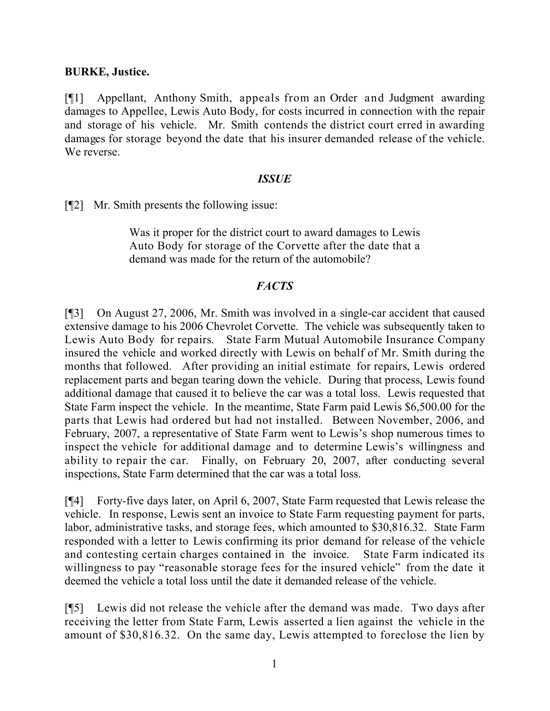#### **BURKE, Justice.**

[¶1] Appellant, Anthony Smith, appeals from an Order and Judgment awarding damages to Appellee, Lewis Auto Body, for costs incurred in connection with the repair and storage of his vehicle. Mr. Smith contends the district court erred in awarding damages for storage beyond the date that his insurer demanded release of the vehicle. We reverse.

#### *ISSUE*

[¶2] Mr. Smith presents the following issue:

Was it proper for the district court to award damages to Lewis Auto Body for storage of the Corvette after the date that a demand was made for the return of the automobile?

#### *FACTS*

[¶3] On August 27, 2006, Mr. Smith was involved in a single-car accident that caused extensive damage to his 2006 Chevrolet Corvette. The vehicle was subsequently taken to Lewis Auto Body for repairs. State Farm Mutual Automobile Insurance Company insured the vehicle and worked directly with Lewis on behalf of Mr. Smith during the months that followed. After providing an initial estimate for repairs, Lewis ordered replacement parts and began tearing down the vehicle. During that process, Lewis found additional damage that caused it to believe the car was a total loss. Lewis requested that State Farm inspect the vehicle. In the meantime, State Farm paid Lewis \$6,500.00 for the parts that Lewis had ordered but had not installed. Between November, 2006, and February, 2007, a representative of State Farm went to Lewis's shop numerous times to inspect the vehicle for additional damage and to determine Lewis's willingness and ability to repair the car. Finally, on February 20, 2007, after conducting several inspections, State Farm determined that the car was a total loss.

[¶4] Forty-five days later, on April 6, 2007, State Farm requested that Lewis release the vehicle. In response, Lewis sent an invoice to State Farm requesting payment for parts, labor, administrative tasks, and storage fees, which amounted to \$30,816.32. State Farm responded with a letter to Lewis confirming its prior demand for release of the vehicle and contesting certain charges contained in the invoice. State Farm indicated its willingness to pay "reasonable storage fees for the insured vehicle" from the date it deemed the vehicle a total loss until the date it demanded release of the vehicle.

[¶5] Lewis did not release the vehicle after the demand was made. Two days after receiving the letter from State Farm, Lewis asserted a lien against the vehicle in the amount of \$30,816.32. On the same day, Lewis attempted to foreclose the lien by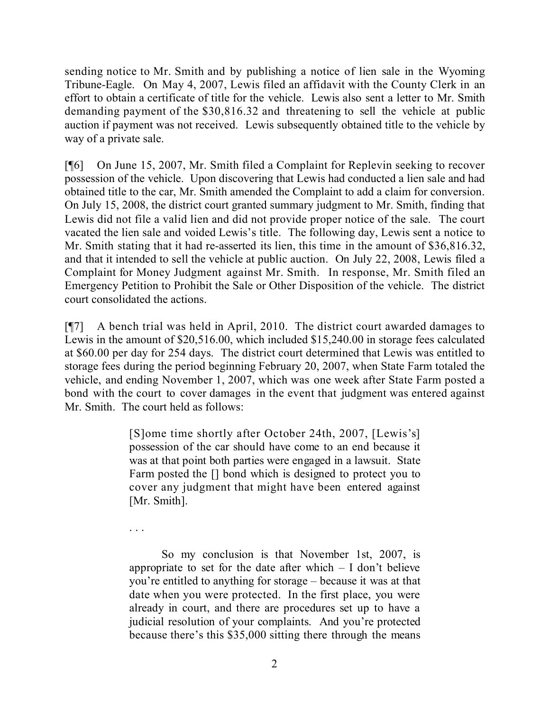sending notice to Mr. Smith and by publishing a notice of lien sale in the Wyoming Tribune-Eagle. On May 4, 2007, Lewis filed an affidavit with the County Clerk in an effort to obtain a certificate of title for the vehicle. Lewis also sent a letter to Mr. Smith demanding payment of the \$30,816.32 and threatening to sell the vehicle at public auction if payment was not received. Lewis subsequently obtained title to the vehicle by way of a private sale.

[¶6] On June 15, 2007, Mr. Smith filed a Complaint for Replevin seeking to recover possession of the vehicle. Upon discovering that Lewis had conducted a lien sale and had obtained title to the car, Mr. Smith amended the Complaint to add a claim for conversion. On July 15, 2008, the district court granted summary judgment to Mr. Smith, finding that Lewis did not file a valid lien and did not provide proper notice of the sale. The court vacated the lien sale and voided Lewis's title. The following day, Lewis sent a notice to Mr. Smith stating that it had re-asserted its lien, this time in the amount of \$36,816.32, and that it intended to sell the vehicle at public auction. On July 22, 2008, Lewis filed a Complaint for Money Judgment against Mr. Smith. In response, Mr. Smith filed an Emergency Petition to Prohibit the Sale or Other Disposition of the vehicle. The district court consolidated the actions.

[¶7] A bench trial was held in April, 2010. The district court awarded damages to Lewis in the amount of \$20,516.00, which included \$15,240.00 in storage fees calculated at \$60.00 per day for 254 days. The district court determined that Lewis was entitled to storage fees during the period beginning February 20, 2007, when State Farm totaled the vehicle, and ending November 1, 2007, which was one week after State Farm posted a bond with the court to cover damages in the event that judgment was entered against Mr. Smith. The court held as follows:

> [S]ome time shortly after October 24th, 2007, [Lewis's] possession of the car should have come to an end because it was at that point both parties were engaged in a lawsuit. State Farm posted the [] bond which is designed to protect you to cover any judgment that might have been entered against [Mr. Smith].

. . .

So my conclusion is that November 1st, 2007, is appropriate to set for the date after which  $- I$  don't believe you're entitled to anything for storage – because it was at that date when you were protected. In the first place, you were already in court, and there are procedures set up to have a judicial resolution of your complaints. And you're protected because there's this \$35,000 sitting there through the means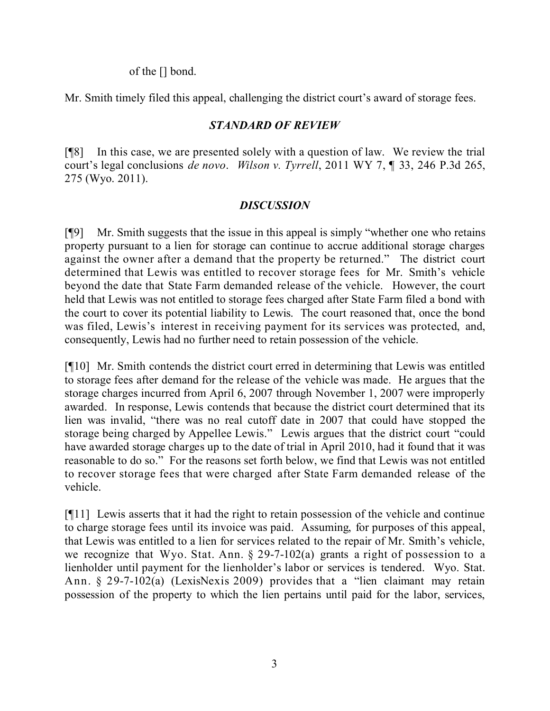of the [] bond.

Mr. Smith timely filed this appeal, challenging the district court's award of storage fees.

## *STANDARD OF REVIEW*

[¶8] In this case, we are presented solely with a question of law. We review the trial court's legal conclusions *de novo*. *Wilson v. Tyrrell*, 2011 WY 7, ¶ 33, 246 P.3d 265, 275 (Wyo. 2011).

# *DISCUSSION*

[¶9] Mr. Smith suggests that the issue in this appeal is simply "whether one who retains property pursuant to a lien for storage can continue to accrue additional storage charges against the owner after a demand that the property be returned." The district court determined that Lewis was entitled to recover storage fees for Mr. Smith's vehicle beyond the date that State Farm demanded release of the vehicle. However, the court held that Lewis was not entitled to storage fees charged after State Farm filed a bond with the court to cover its potential liability to Lewis. The court reasoned that, once the bond was filed, Lewis's interest in receiving payment for its services was protected, and, consequently, Lewis had no further need to retain possession of the vehicle.

[¶10] Mr. Smith contends the district court erred in determining that Lewis was entitled to storage fees after demand for the release of the vehicle was made. He argues that the storage charges incurred from April 6, 2007 through November 1, 2007 were improperly awarded. In response, Lewis contends that because the district court determined that its lien was invalid, "there was no real cutoff date in 2007 that could have stopped the storage being charged by Appellee Lewis." Lewis argues that the district court "could have awarded storage charges up to the date of trial in April 2010, had it found that it was reasonable to do so." For the reasons set forth below, we find that Lewis was not entitled to recover storage fees that were charged after State Farm demanded release of the vehicle.

[¶11] Lewis asserts that it had the right to retain possession of the vehicle and continue to charge storage fees until its invoice was paid. Assuming, for purposes of this appeal, that Lewis was entitled to a lien for services related to the repair of Mr. Smith's vehicle, we recognize that Wyo. Stat. Ann. § 29-7-102(a) grants a right of possession to a lienholder until payment for the lienholder's labor or services is tendered. Wyo. Stat. Ann. § 29-7-102(a) (LexisNexis 2009) provides that a "lien claimant may retain possession of the property to which the lien pertains until paid for the labor, services,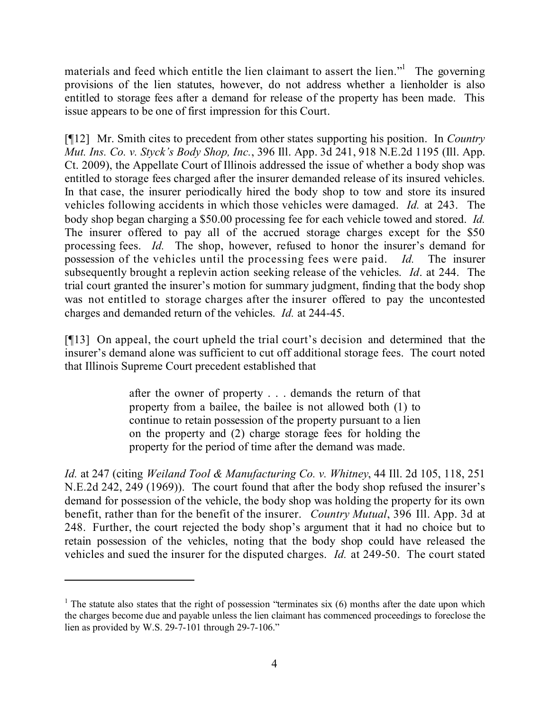materials and feed which entitle the lien claimant to assert the lien."<sup>1</sup> The governing provisions of the lien statutes, however, do not address whether a lienholder is also entitled to storage fees after a demand for release of the property has been made. This issue appears to be one of first impression for this Court.

[¶12] Mr. Smith cites to precedent from other states supporting his position. In *Country Mut. Ins. Co. v. Styck's Body Shop, Inc.*, 396 Ill. App. 3d 241, 918 N.E.2d 1195 (Ill. App. Ct. 2009), the Appellate Court of Illinois addressed the issue of whether a body shop was entitled to storage fees charged after the insurer demanded release of its insured vehicles. In that case, the insurer periodically hired the body shop to tow and store its insured vehicles following accidents in which those vehicles were damaged. *Id.* at 243. The body shop began charging a \$50.00 processing fee for each vehicle towed and stored. *Id.* The insurer offered to pay all of the accrued storage charges except for the \$50 processing fees. *Id.* The shop, however, refused to honor the insurer's demand for possession of the vehicles until the processing fees were paid. *Id.* The insurer subsequently brought a replevin action seeking release of the vehicles. *Id*. at 244. The trial court granted the insurer's motion for summary judgment, finding that the body shop was not entitled to storage charges after the insurer offered to pay the uncontested charges and demanded return of the vehicles. *Id.* at 244-45.

[¶13] On appeal, the court upheld the trial court's decision and determined that the insurer's demand alone was sufficient to cut off additional storage fees. The court noted that Illinois Supreme Court precedent established that

> after the owner of property . . . demands the return of that property from a bailee, the bailee is not allowed both (1) to continue to retain possession of the property pursuant to a lien on the property and (2) charge storage fees for holding the property for the period of time after the demand was made.

*Id.* at 247 (citing *Weiland Tool & Manufacturing Co. v. Whitney*, 44 Ill. 2d 105, 118, 251 N.E.2d 242, 249 (1969)). The court found that after the body shop refused the insurer's demand for possession of the vehicle, the body shop was holding the property for its own benefit, rather than for the benefit of the insurer. *Country Mutual*, 396 Ill. App. 3d at 248. Further, the court rejected the body shop's argument that it had no choice but to retain possession of the vehicles, noting that the body shop could have released the vehicles and sued the insurer for the disputed charges. *Id.* at 249-50. The court stated

<sup>&</sup>lt;sup>1</sup> The statute also states that the right of possession "terminates six  $(6)$  months after the date upon which the charges become due and payable unless the lien claimant has commenced proceedings to foreclose the lien as provided by W.S. 29-7-101 through 29-7-106."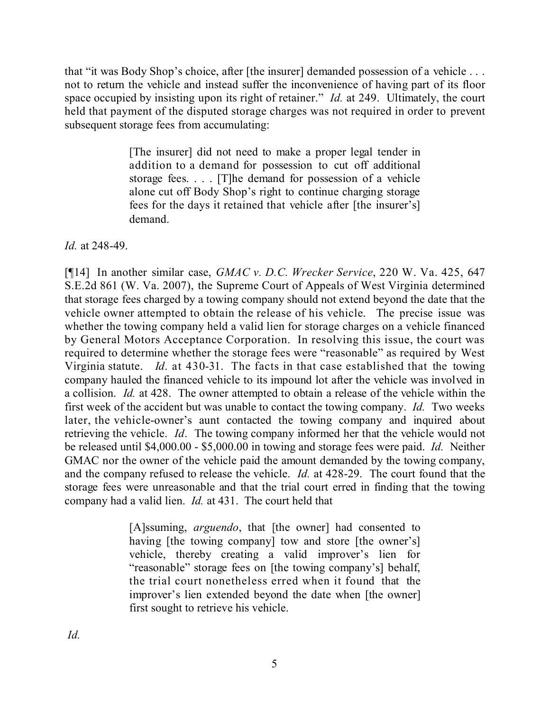that "it was Body Shop's choice, after [the insurer] demanded possession of a vehicle . . . not to return the vehicle and instead suffer the inconvenience of having part of its floor space occupied by insisting upon its right of retainer." *Id.* at 249. Ultimately, the court held that payment of the disputed storage charges was not required in order to prevent subsequent storage fees from accumulating:

> [The insurer] did not need to make a proper legal tender in addition to a demand for possession to cut off additional storage fees. . . . [T]he demand for possession of a vehicle alone cut off Body Shop's right to continue charging storage fees for the days it retained that vehicle after [the insurer's] demand.

### *Id.* at 248-49.

[¶14] In another similar case, *GMAC v. D.C. Wrecker Service*, 220 W. Va. 425, 647 S.E.2d 861 (W. Va. 2007), the Supreme Court of Appeals of West Virginia determined that storage fees charged by a towing company should not extend beyond the date that the vehicle owner attempted to obtain the release of his vehicle. The precise issue was whether the towing company held a valid lien for storage charges on a vehicle financed by General Motors Acceptance Corporation. In resolving this issue, the court was required to determine whether the storage fees were "reasonable" as required by West Virginia statute. *Id*. at 430-31. The facts in that case established that the towing company hauled the financed vehicle to its impound lot after the vehicle was involved in a collision. *Id.* at 428. The owner attempted to obtain a release of the vehicle within the first week of the accident but was unable to contact the towing company. *Id.* Two weeks later, the vehicle-owner's aunt contacted the towing company and inquired about retrieving the vehicle. *Id*. The towing company informed her that the vehicle would not be released until \$4,000.00 - \$5,000.00 in towing and storage fees were paid. *Id.* Neither GMAC nor the owner of the vehicle paid the amount demanded by the towing company, and the company refused to release the vehicle. *Id.* at 428-29. The court found that the storage fees were unreasonable and that the trial court erred in finding that the towing company had a valid lien. *Id.* at 431. The court held that

> [A]ssuming, *arguendo*, that [the owner] had consented to having [the towing company] tow and store [the owner's] vehicle, thereby creating a valid improver's lien for "reasonable" storage fees on [the towing company's] behalf, the trial court nonetheless erred when it found that the improver's lien extended beyond the date when [the owner] first sought to retrieve his vehicle.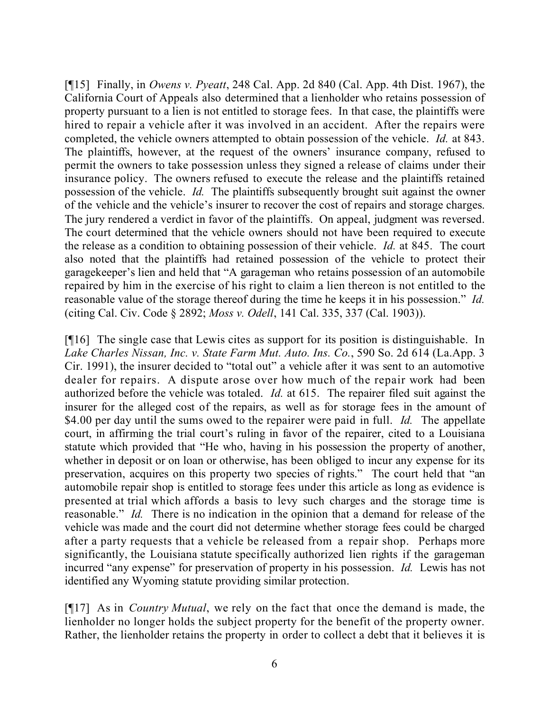[¶15] Finally, in *Owens v. Pyeatt*, 248 Cal. App. 2d 840 (Cal. App. 4th Dist. 1967), the California Court of Appeals also determined that a lienholder who retains possession of property pursuant to a lien is not entitled to storage fees. In that case, the plaintiffs were hired to repair a vehicle after it was involved in an accident. After the repairs were completed, the vehicle owners attempted to obtain possession of the vehicle. *Id.* at 843. The plaintiffs, however, at the request of the owners' insurance company, refused to permit the owners to take possession unless they signed a release of claims under their insurance policy. The owners refused to execute the release and the plaintiffs retained possession of the vehicle. *Id.* The plaintiffs subsequently brought suit against the owner of the vehicle and the vehicle's insurer to recover the cost of repairs and storage charges. The jury rendered a verdict in favor of the plaintiffs. On appeal, judgment was reversed. The court determined that the vehicle owners should not have been required to execute the release as a condition to obtaining possession of their vehicle. *Id.* at 845. The court also noted that the plaintiffs had retained possession of the vehicle to protect their garagekeeper's lien and held that "A garageman who retains possession of an automobile repaired by him in the exercise of his right to claim a lien thereon is not entitled to the reasonable value of the storage thereof during the time he keeps it in his possession." *Id.* (citing Cal. Civ. Code § 2892; *Moss v. Odell*, 141 Cal. 335, 337 (Cal. 1903)).

[¶16] The single case that Lewis cites as support for its position is distinguishable. In *Lake Charles Nissan, Inc. v. State Farm Mut. Auto. Ins. Co.*, 590 So. 2d 614 (La.App. 3 Cir. 1991), the insurer decided to "total out" a vehicle after it was sent to an automotive dealer for repairs. A dispute arose over how much of the repair work had been authorized before the vehicle was totaled. *Id.* at 615. The repairer filed suit against the insurer for the alleged cost of the repairs, as well as for storage fees in the amount of \$4.00 per day until the sums owed to the repairer were paid in full. *Id.* The appellate court, in affirming the trial court's ruling in favor of the repairer, cited to a Louisiana statute which provided that "He who, having in his possession the property of another, whether in deposit or on loan or otherwise, has been obliged to incur any expense for its preservation, acquires on this property two species of rights." The court held that "an automobile repair shop is entitled to storage fees under this article as long as evidence is presented at trial which affords a basis to levy such charges and the storage time is reasonable." *Id.* There is no indication in the opinion that a demand for release of the vehicle was made and the court did not determine whether storage fees could be charged after a party requests that a vehicle be released from a repair shop. Perhaps more significantly, the Louisiana statute specifically authorized lien rights if the garageman incurred "any expense" for preservation of property in his possession. *Id.* Lewis has not identified any Wyoming statute providing similar protection.

[¶17] As in *Country Mutual*, we rely on the fact that once the demand is made, the lienholder no longer holds the subject property for the benefit of the property owner. Rather, the lienholder retains the property in order to collect a debt that it believes it is